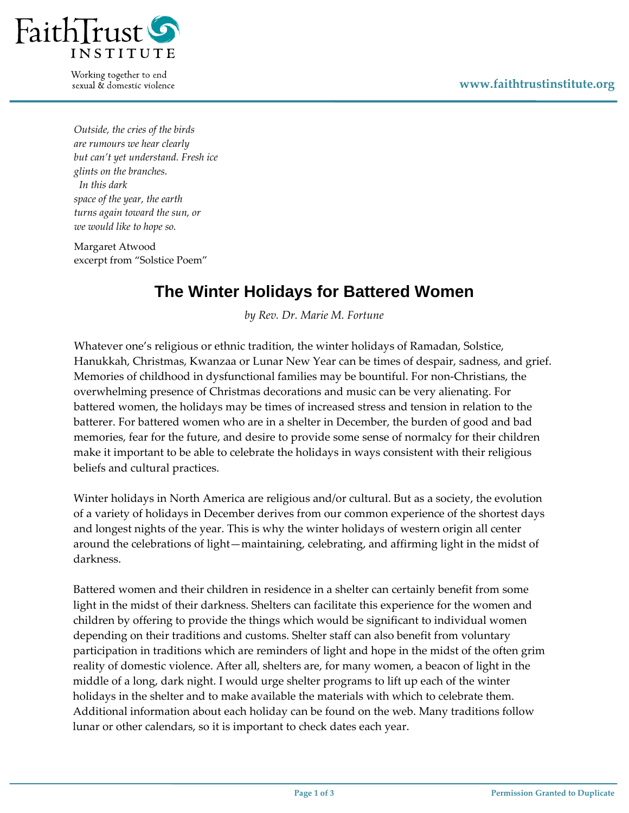

Working together to end sexual & domestic violence

*Outside, the cries of the birds are rumours we hear clearly but can't yet understand. Fresh ice glints on the branches. In this dark space of the year, the earth turns again toward the sun, or we would like to hope so.* 

Margaret Atwood excerpt from "Solstice Poem"

## **The Winter Holidays for Battered Women**

*by Rev. Dr. Marie M. Fortune*

Whatever one's religious or ethnic tradition, the winter holidays of Ramadan, Solstice, Hanukkah, Christmas, Kwanzaa or Lunar New Year can be times of despair, sadness, and grief. Memories of childhood in dysfunctional families may be bountiful. For non‐Christians, the overwhelming presence of Christmas decorations and music can be very alienating. For battered women, the holidays may be times of increased stress and tension in relation to the batterer. For battered women who are in a shelter in December, the burden of good and bad memories, fear for the future, and desire to provide some sense of normalcy for their children make it important to be able to celebrate the holidays in ways consistent with their religious beliefs and cultural practices.

Winter holidays in North America are religious and/or cultural. But as a society, the evolution of a variety of holidays in December derives from our common experience of the shortest days and longest nights of the year. This is why the winter holidays of western origin all center around the celebrations of light—maintaining, celebrating, and affirming light in the midst of darkness.

Battered women and their children in residence in a shelter can certainly benefit from some light in the midst of their darkness. Shelters can facilitate this experience for the women and children by offering to provide the things which would be significant to individual women depending on their traditions and customs. Shelter staff can also benefit from voluntary participation in traditions which are reminders of light and hope in the midst of the often grim reality of domestic violence. After all, shelters are, for many women, a beacon of light in the middle of a long, dark night. I would urge shelter programs to lift up each of the winter holidays in the shelter and to make available the materials with which to celebrate them. Additional information about each holiday can be found on the web. Many traditions follow lunar or other calendars, so it is important to check dates each year.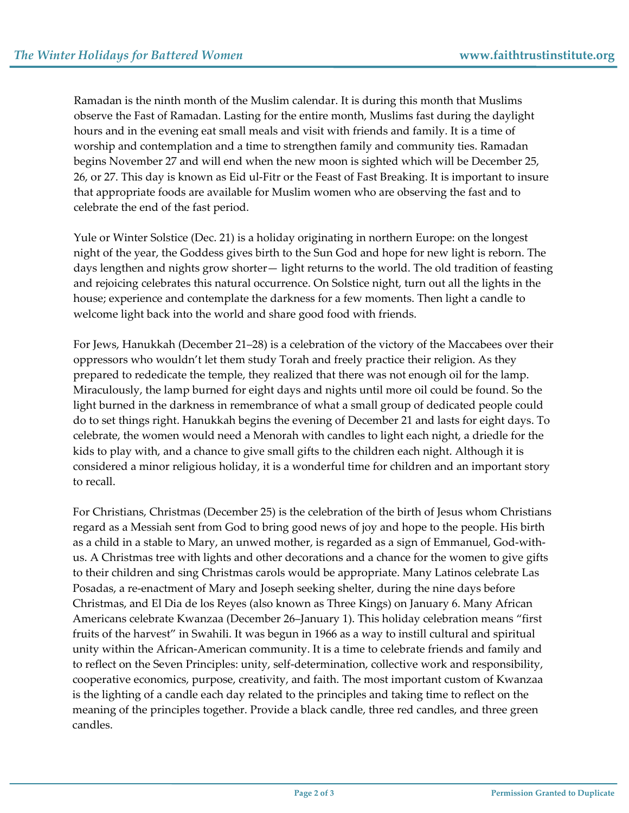Ramadan is the ninth month of the Muslim calendar. It is during this month that Muslims observe the Fast of Ramadan. Lasting for the entire month, Muslims fast during the daylight hours and in the evening eat small meals and visit with friends and family. It is a time of worship and contemplation and a time to strengthen family and community ties. Ramadan begins November 27 and will end when the new moon is sighted which will be December 25, 26, or 27. This day is known as Eid ul‐Fitr or the Feast of Fast Breaking. It is important to insure that appropriate foods are available for Muslim women who are observing the fast and to celebrate the end of the fast period.

Yule or Winter Solstice (Dec. 21) is a holiday originating in northern Europe: on the longest night of the year, the Goddess gives birth to the Sun God and hope for new light is reborn. The days lengthen and nights grow shorter— light returns to the world. The old tradition of feasting and rejoicing celebrates this natural occurrence. On Solstice night, turn out all the lights in the house; experience and contemplate the darkness for a few moments. Then light a candle to welcome light back into the world and share good food with friends.

For Jews, Hanukkah (December 21–28) is a celebration of the victory of the Maccabees over their oppressors who wouldn't let them study Torah and freely practice their religion. As they prepared to rededicate the temple, they realized that there was not enough oil for the lamp. Miraculously, the lamp burned for eight days and nights until more oil could be found. So the light burned in the darkness in remembrance of what a small group of dedicated people could do to set things right. Hanukkah begins the evening of December 21 and lasts for eight days. To celebrate, the women would need a Menorah with candles to light each night, a driedle for the kids to play with, and a chance to give small gifts to the children each night. Although it is considered a minor religious holiday, it is a wonderful time for children and an important story to recall.

For Christians, Christmas (December 25) is the celebration of the birth of Jesus whom Christians regard as a Messiah sent from God to bring good news of joy and hope to the people. His birth as a child in a stable to Mary, an unwed mother, is regarded as a sign of Emmanuel, God-withus. A Christmas tree with lights and other decorations and a chance for the women to give gifts to their children and sing Christmas carols would be appropriate. Many Latinos celebrate Las Posadas, a re-enactment of Mary and Joseph seeking shelter, during the nine days before Christmas, and El Dia de los Reyes (also known as Three Kings) on January 6. Many African Americans celebrate Kwanzaa (December 26–January 1). This holiday celebration means "first fruits of the harvest" in Swahili. It was begun in 1966 as a way to instill cultural and spiritual unity within the African‐American community. It is a time to celebrate friends and family and to reflect on the Seven Principles: unity, self‐determination, collective work and responsibility, cooperative economics, purpose, creativity, and faith. The most important custom of Kwanzaa is the lighting of a candle each day related to the principles and taking time to reflect on the meaning of the principles together. Provide a black candle, three red candles, and three green candles.